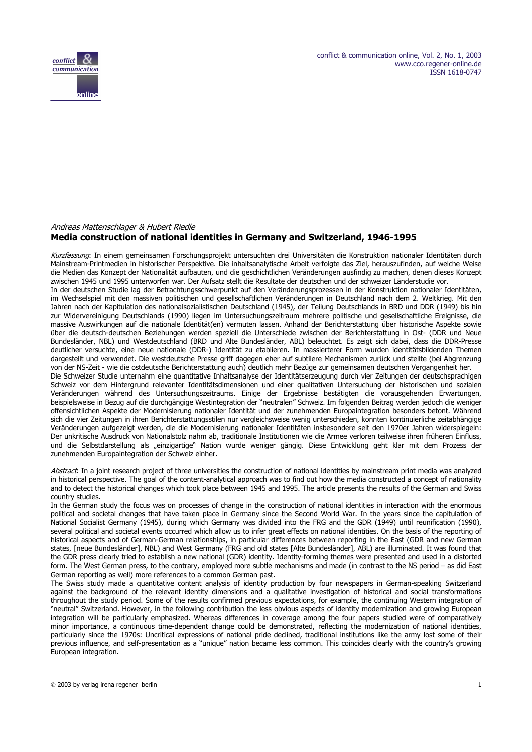

# Andreas Mattenschlager & Hubert Riedle **Media construction of national identities in Germany and Switzerland, 1946-1995**

Kurzfassung: In einem gemeinsamen Forschungsprojekt untersuchten drei Universitäten die Konstruktion nationaler Identitäten durch Mainstream-Printmedien in historischer Perspektive. Die inhaltsanalytische Arbeit verfolgte das Ziel, herauszufinden, auf welche Weise die Medien das Konzept der Nationalität aufbauten, und die geschichtlichen Veränderungen ausfindig zu machen, denen dieses Konzept zwischen 1945 und 1995 unterworfen war. Der Aufsatz stellt die Resultate der deutschen und der schweizer Länderstudie vor. In der deutschen Studie lag der Betrachtungsschwerpunkt auf den Veränderungsprozessen in der Konstruktion nationaler Identitäten, im Wechselspiel mit den massiven politischen und gesellschaftlichen Veränderungen in Deutschland nach dem 2. Weltkrieg. Mit den Jahren nach der Kapitulation des nationalsozialistischen Deutschland (1945), der Teilung Deutschlands in BRD und DDR (1949) bis hin zur Widervereinigung Deutschlands (1990) liegen im Untersuchungszeitraum mehrere politische und gesellschaftliche Ereignisse, die massive Auswirkungen auf die nationale Identität(en) vermuten lassen. Anhand der Berichterstattung über historische Aspekte sowie über die deutsch-deutschen Beziehungen werden speziell die Unterschiede zwischen der Berichterstattung in Ost- (DDR und Neue Bundesländer, NBL) und Westdeutschland (BRD und Alte Bundesländer, ABL) beleuchtet. Es zeigt sich dabei, dass die DDR-Presse deutlicher versuchte, eine neue nationale (DDR-) Identität zu etablieren. In massierterer Form wurden identitätsbildenden Themen dargestellt und verwendet. Die westdeutsche Presse griff dagegen eher auf subtilere Mechanismen zurück und stellte (bei Abgrenzung von der NS-Zeit - wie die ostdeutsche Berichterstattung auch) deutlich mehr Bezüge zur gemeinsamen deutschen Vergangenheit her. Die Schweizer Studie unternahm eine quantitative Inhaltsanalyse der Identitätserzeugung durch vier Zeitungen der deutschsprachigen Schweiz vor dem Hintergrund relevanter Identitätsdimensionen und einer qualitativen Untersuchung der historischen und sozialen Veränderungen während des Untersuchungszeitraums. Einige der Ergebnisse bestätigten die vorausgehenden Erwartungen, beispielsweise in Bezug auf die durchgängige Westintegration der "neutralen" Schweiz. Im folgenden Beitrag werden jedoch die weniger offensichtlichen Aspekte der Modernisierung nationaler Identität und der zunehmenden Europaintegration besonders betont. Während sich die vier Zeitungen in ihren Berichterstattungsstilen nur vergleichsweise wenig unterschieden, konnten kontinuierliche zeitabhängige Veränderungen aufgezeigt werden, die die Modernisierung nationaler Identitäten insbesondere seit den 1970er Jahren widerspiegeln: Der unkritische Ausdruck von Nationalstolz nahm ab, traditionale Institutionen wie die Armee verloren teilweise ihren früheren Einfluss, und die Selbstdarstellung als "einzigartige" Nation wurde weniger gängig. Diese Entwicklung geht klar mit dem Prozess der zunehmenden Europaintegration der Schweiz einher.

Abstract: In a joint research project of three universities the construction of national identities by mainstream print media was analyzed in historical perspective. The goal of the content-analytical approach was to find out how the media constructed a concept of nationality and to detect the historical changes which took place between 1945 and 1995. The article presents the results of the German and Swiss country studies.

In the German study the focus was on processes of change in the construction of national identities in interaction with the enormous political and societal changes that have taken place in Germany since the Second World War. In the years since the capitulation of National Socialist Germany (1945), during which Germany was divided into the FRG and the GDR (1949) until reunification (1990), several political and societal events occurred which allow us to infer great effects on national identities. On the basis of the reporting of historical aspects and of German-German relationships, in particular differences between reporting in the East (GDR and new German states, [neue Bundesländer], NBL) and West Germany (FRG and old states [Alte Bundesländer], ABL) are illuminated. It was found that the GDR press clearly tried to establish a new national (GDR) identity. Identity-forming themes were presented and used in a distorted form. The West German press, to the contrary, employed more subtle mechanisms and made (in contrast to the NS period – as did East German reporting as well) more references to a common German past.

The Swiss study made a quantitative content analysis of identity production by four newspapers in German-speaking Switzerland against the background of the relevant identity dimensions and a qualitative investigation of historical and social transformations throughout the study period. Some of the results confirmed previous expectations, for example, the continuing Western integration of "neutral" Switzerland. However, in the following contribution the less obvious aspects of identity modernization and growing European integration will be particularly emphasized. Whereas differences in coverage among the four papers studied were of comparatively minor importance, a continuous time-dependent change could be demonstrated, reflecting the modernization of national identities, particularly since the 1970s: Uncritical expressions of national pride declined, traditional institutions like the army lost some of their previous influence, and self-presentation as a "unique" nation became less common. This coincides clearly with the country's growing European integration.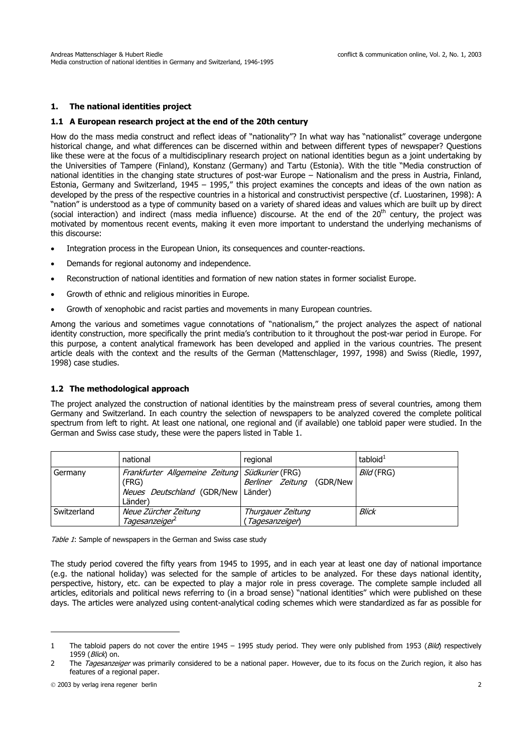# **1. The national identities project**

### **1.1 A European research project at the end of the 20th century**

How do the mass media construct and reflect ideas of "nationality"? In what way has "nationalist" coverage undergone historical change, and what differences can be discerned within and between different types of newspaper? Questions like these were at the focus of a multidisciplinary research project on national identities begun as a joint undertaking by the Universities of Tampere (Finland), Konstanz (Germany) and Tartu (Estonia). With the title "Media construction of national identities in the changing state structures of post-war Europe – Nationalism and the press in Austria, Finland, Estonia, Germany and Switzerland, 1945 – 1995," this project examines the concepts and ideas of the own nation as developed by the press of the respective countries in a historical and constructivist perspective (cf. Luostarinen, 1998): A "nation" is understood as a type of community based on a variety of shared ideas and values which are built up by direct (social interaction) and indirect (mass media influence) discourse. At the end of the  $20<sup>th</sup>$  century, the project was motivated by momentous recent events, making it even more important to understand the underlying mechanisms of this discourse:

- Integration process in the European Union, its consequences and counter-reactions.
- Demands for regional autonomy and independence.
- Reconstruction of national identities and formation of new nation states in former socialist Europe.
- Growth of ethnic and religious minorities in Europe.
- Growth of xenophobic and racist parties and movements in many European countries.

Among the various and sometimes vague connotations of "nationalism," the project analyzes the aspect of national identity construction, more specifically the print media's contribution to it throughout the post-war period in Europe. For this purpose, a content analytical framework has been developed and applied in the various countries. The present article deals with the context and the results of the German (Mattenschlager, 1997, 1998) and Swiss (Riedle, 1997, 1998) case studies.

### **1.2 The methodological approach**

The project analyzed the construction of national identities by the mainstream press of several countries, among them Germany and Switzerland. In each country the selection of newspapers to be analyzed covered the complete political spectrum from left to right. At least one national, one regional and (if available) one tabloid paper were studied. In the German and Swiss case study, these were the papers listed in Table 1.

|             | national                                                                                                 | regional                            | tabloid $1$ |
|-------------|----------------------------------------------------------------------------------------------------------|-------------------------------------|-------------|
| Germany     | Frankfurter Allgemeine Zeitung Südkurier (FRG)<br>(FRG)<br>Neues Deutschland (GDR/New Länder)<br>Länder) | Berliner Zeitung<br>(GDR/New        | Bild (FRG)  |
| Switzerland | Neue Zürcher Zeitung<br>Tagesanzeiger                                                                    | Thurgauer Zeitung<br>Tagesanzeiger) | Blick       |

Table 1: Sample of newspapers in the German and Swiss case study

The study period covered the fifty years from 1945 to 1995, and in each year at least one day of national importance (e.g. the national holiday) was selected for the sample of articles to be analyzed. For these days national identity, perspective, history, etc. can be expected to play a major role in press coverage. The complete sample included all articles, editorials and political news referring to (in a broad sense) "national identities" which were published on these days. The articles were analyzed using content-analytical coding schemes which were standardized as far as possible for

l

<sup>1</sup> The tabloid papers do not cover the entire 1945 – 1995 study period. They were only published from 1953 (Bild) respectively 1959 (*Blick*) on.

<sup>2</sup> The Tagesanzeiger was primarily considered to be a national paper. However, due to its focus on the Zurich region, it also has features of a regional paper.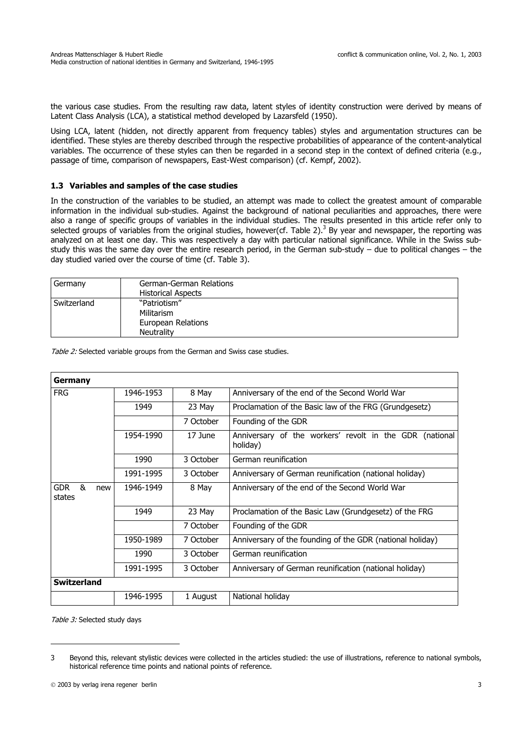the various case studies. From the resulting raw data, latent styles of identity construction were derived by means of Latent Class Analysis (LCA), a statistical method developed by Lazarsfeld (1950).

Using LCA, latent (hidden, not directly apparent from frequency tables) styles and argumentation structures can be identified. These styles are thereby described through the respective probabilities of appearance of the content-analytical variables. The occurrence of these styles can then be regarded in a second step in the context of defined criteria (e.g., passage of time, comparison of newspapers, East-West comparison) (cf. Kempf, 2002).

### **1.3 Variables and samples of the case studies**

In the construction of the variables to be studied, an attempt was made to collect the greatest amount of comparable information in the individual sub-studies. Against the background of national peculiarities and approaches, there were also a range of specific groups of variables in the individual studies. The results presented in this article refer only to selected groups of variables from the original studies, however(cf. Table 2).<sup>3</sup> By year and newspaper, the reporting was analyzed on at least one day. This was respectively a day with particular national significance. While in the Swiss substudy this was the same day over the entire research period, in the German sub-study – due to political changes – the day studied varied over the course of time (cf. Table 3).

| Germany     | German-German Relations<br><b>Historical Aspects</b>                  |
|-------------|-----------------------------------------------------------------------|
| Switzerland | "Patriotism"<br>Militarism<br>European Relations<br><b>Neutrality</b> |

| Germany                          |           |           |                                                                     |  |
|----------------------------------|-----------|-----------|---------------------------------------------------------------------|--|
| <b>FRG</b>                       | 1946-1953 | 8 May     | Anniversary of the end of the Second World War                      |  |
|                                  | 1949      | 23 May    | Proclamation of the Basic law of the FRG (Grundgesetz)              |  |
|                                  |           | 7 October | Founding of the GDR                                                 |  |
|                                  | 1954-1990 | 17 June   | Anniversary of the workers' revolt in the GDR (national<br>holiday) |  |
|                                  | 1990      | 3 October | German reunification                                                |  |
|                                  | 1991-1995 | 3 October | Anniversary of German reunification (national holiday)              |  |
| &<br><b>GDR</b><br>new<br>states | 1946-1949 | 8 May     | Anniversary of the end of the Second World War                      |  |
|                                  | 1949      | 23 May    | Proclamation of the Basic Law (Grundgesetz) of the FRG              |  |
|                                  |           | 7 October | Founding of the GDR                                                 |  |
|                                  | 1950-1989 | 7 October | Anniversary of the founding of the GDR (national holiday)           |  |
|                                  | 1990      | 3 October | German reunification                                                |  |
|                                  | 1991-1995 | 3 October | Anniversary of German reunification (national holiday)              |  |
| <b>Switzerland</b>               |           |           |                                                                     |  |
|                                  | 1946-1995 | 1 August  | National holiday                                                    |  |

Table 2: Selected variable groups from the German and Swiss case studies.

Table 3: Selected study days

j

<sup>3</sup> Beyond this, relevant stylistic devices were collected in the articles studied: the use of illustrations, reference to national symbols, historical reference time points and national points of reference.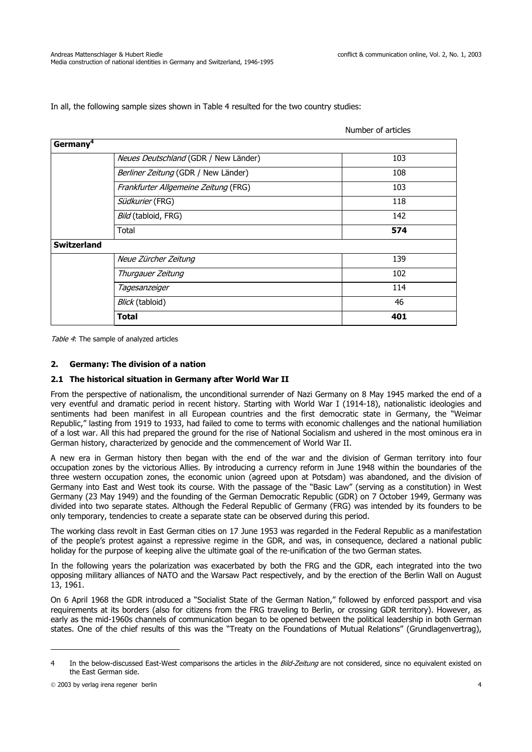In all, the following sample sizes shown in Table 4 resulted for the two country studies:

|                                      | Number of articles |
|--------------------------------------|--------------------|
| Germany <sup>4</sup>                 |                    |
| Neues Deutschland (GDR / New Länder) | 103                |
| Berliner Zeitung (GDR / New Länder)  | 108                |
| Frankfurter Allgemeine Zeitung (FRG) | 103                |
| Südkurier (FRG)                      | 118                |
| Bild (tabloid, FRG)                  | 142                |
| Total                                | 574                |
| <b>Switzerland</b>                   |                    |
| Neue Zürcher Zeitung                 | 139                |
| Thurgauer Zeitung                    | 102                |
| Tagesanzeiger                        | 114                |
| Blick (tabloid)                      | 46                 |
| <b>Total</b>                         | 401                |

Table 4: The sample of analyzed articles

### **2. Germany: The division of a nation**

### **2.1 The historical situation in Germany after World War II**

From the perspective of nationalism, the unconditional surrender of Nazi Germany on 8 May 1945 marked the end of a very eventful and dramatic period in recent history. Starting with World War I (1914-18), nationalistic ideologies and sentiments had been manifest in all European countries and the first democratic state in Germany, the "Weimar Republic," lasting from 1919 to 1933, had failed to come to terms with economic challenges and the national humiliation of a lost war. All this had prepared the ground for the rise of National Socialism and ushered in the most ominous era in German history, characterized by genocide and the commencement of World War II.

A new era in German history then began with the end of the war and the division of German territory into four occupation zones by the victorious Allies. By introducing a currency reform in June 1948 within the boundaries of the three western occupation zones, the economic union (agreed upon at Potsdam) was abandoned, and the division of Germany into East and West took its course. With the passage of the "Basic Law" (serving as a constitution) in West Germany (23 May 1949) and the founding of the German Democratic Republic (GDR) on 7 October 1949, Germany was divided into two separate states. Although the Federal Republic of Germany (FRG) was intended by its founders to be only temporary, tendencies to create a separate state can be observed during this period.

The working class revolt in East German cities on 17 June 1953 was regarded in the Federal Republic as a manifestation of the people's protest against a repressive regime in the GDR, and was, in consequence, declared a national public holiday for the purpose of keeping alive the ultimate goal of the re-unification of the two German states.

In the following years the polarization was exacerbated by both the FRG and the GDR, each integrated into the two opposing military alliances of NATO and the Warsaw Pact respectively, and by the erection of the Berlin Wall on August 13, 1961.

On 6 April 1968 the GDR introduced a "Socialist State of the German Nation," followed by enforced passport and visa requirements at its borders (also for citizens from the FRG traveling to Berlin, or crossing GDR territory). However, as early as the mid-1960s channels of communication began to be opened between the political leadership in both German states. One of the chief results of this was the "Treaty on the Foundations of Mutual Relations" (Grundlagenvertrag),

j

<sup>4</sup> In the below-discussed East-West comparisons the articles in the Bild-Zeitung are not considered, since no equivalent existed on the East German side.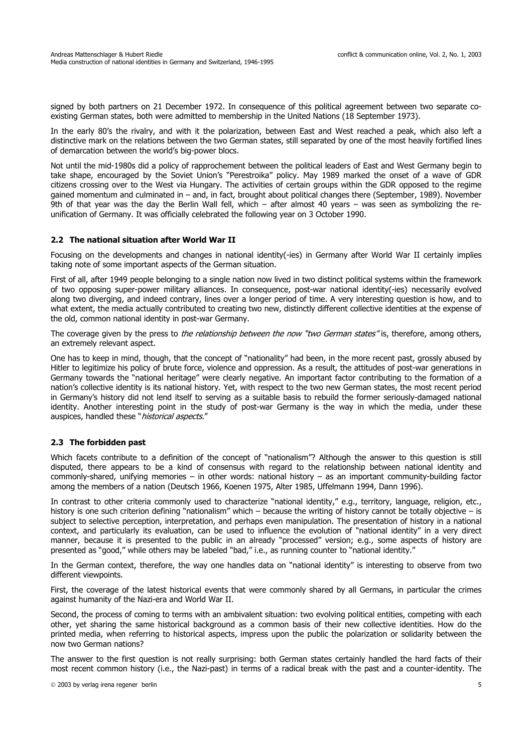signed by both partners on 21 December 1972. In consequence of this political agreement between two separate coexisting German states, both were admitted to membership in the United Nations (18 September 1973).

In the early 80's the rivalry, and with it the polarization, between East and West reached a peak, which also left a distinctive mark on the relations between the two German states, still separated by one of the most heavily fortified lines of demarcation between the world's big-power blocs.

Not until the mid-1980s did a policy of rapprochement between the political leaders of East and West Germany begin to take shape, encouraged by the Soviet Union's "Perestroika" policy. May 1989 marked the onset of a wave of GDR citizens crossing over to the West via Hungary. The activities of certain groups within the GDR opposed to the regime gained momentum and culminated in – and, in fact, brought about political changes there (September, 1989). November 9th of that year was the day the Berlin Wall fell, which – after almost 40 years – was seen as symbolizing the reunification of Germany. It was officially celebrated the following year on 3 October 1990.

### **2.2 The national situation after World War II**

Focusing on the developments and changes in national identity(-ies) in Germany after World War II certainly implies taking note of some important aspects of the German situation.

First of all, after 1949 people belonging to a single nation now lived in two distinct political systems within the framework of two opposing super-power military alliances. In consequence, post-war national identity(-ies) necessarily evolved along two diverging, and indeed contrary, lines over a longer period of time. A very interesting question is how, and to what extent, the media actually contributed to creating two new, distinctly different collective identities at the expense of the old, common national identity in post-war Germany.

The coverage given by the press to *the relationship between the now "two German states"* is, therefore, among others, an extremely relevant aspect.

One has to keep in mind, though, that the concept of "nationality" had been, in the more recent past, grossly abused by Hitler to legitimize his policy of brute force, violence and oppression. As a result, the attitudes of post-war generations in Germany towards the "national heritage" were clearly negative. An important factor contributing to the formation of a nation's collective identity is its national history. Yet, with respect to the two new German states, the most recent period in Germany's history did not lend itself to serving as a suitable basis to rebuild the former seriously-damaged national identity. Another interesting point in the study of post-war Germany is the way in which the media, under these auspices, handled these "*historical aspects*."

### **2.3 The forbidden past**

Which facets contribute to a definition of the concept of "nationalism"? Although the answer to this question is still disputed, there appears to be a kind of consensus with regard to the relationship between national identity and commonly-shared, unifying memories – in other words: national history – as an important community-building factor among the members of a nation (Deutsch 1966, Koenen 1975, Alter 1985, Uffelmann 1994, Dann 1996).

In contrast to other criteria commonly used to characterize "national identity," e.g., territory, language, religion, etc., history is one such criterion defining "nationalism" which – because the writing of history cannot be totally objective – is subject to selective perception, interpretation, and perhaps even manipulation. The presentation of history in a national context, and particularly its evaluation, can be used to influence the evolution of "national identity" in a very direct manner, because it is presented to the public in an already "processed" version; e.g., some aspects of history are presented as "good," while others may be labeled "bad," i.e., as running counter to "national identity."

In the German context, therefore, the way one handles data on "national identity" is interesting to observe from two different viewpoints.

First, the coverage of the latest historical events that were commonly shared by all Germans, in particular the crimes against humanity of the Nazi-era and World War II.

Second, the process of coming to terms with an ambivalent situation: two evolving political entities, competing with each other, yet sharing the same historical background as a common basis of their new collective identities. How do the printed media, when referring to historical aspects, impress upon the public the polarization or solidarity between the now two German nations?

The answer to the first question is not really surprising: both German states certainly handled the hard facts of their most recent common history (i.e., the Nazi-past) in terms of a radical break with the past and a counter-identity. The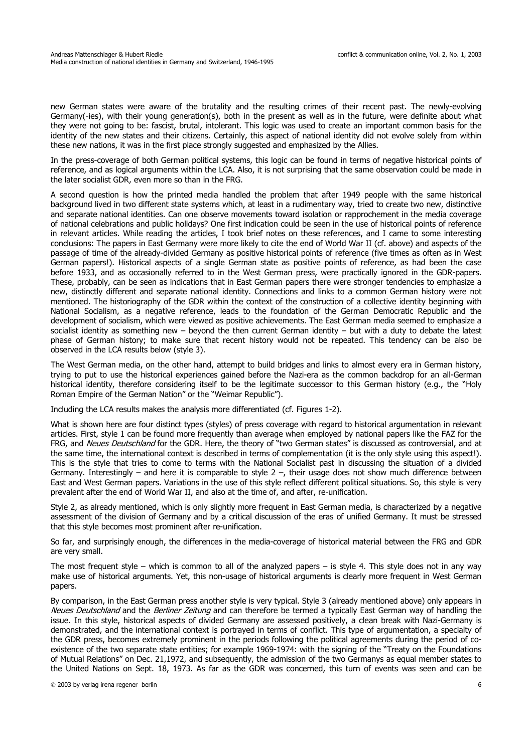new German states were aware of the brutality and the resulting crimes of their recent past. The newly-evolving Germany(-ies), with their young generation(s), both in the present as well as in the future, were definite about what they were not going to be: fascist, brutal, intolerant. This logic was used to create an important common basis for the identity of the new states and their citizens. Certainly, this aspect of national identity did not evolve solely from within these new nations, it was in the first place strongly suggested and emphasized by the Allies.

In the press-coverage of both German political systems, this logic can be found in terms of negative historical points of reference, and as logical arguments within the LCA. Also, it is not surprising that the same observation could be made in the later socialist GDR, even more so than in the FRG.

A second question is how the printed media handled the problem that after 1949 people with the same historical background lived in two different state systems which, at least in a rudimentary way, tried to create two new, distinctive and separate national identities. Can one observe movements toward isolation or rapprochement in the media coverage of national celebrations and public holidays? One first indication could be seen in the use of historical points of reference in relevant articles. While reading the articles, I took brief notes on these references, and I came to some interesting conclusions: The papers in East Germany were more likely to cite the end of World War II (cf. above) and aspects of the passage of time of the already-divided Germany as positive historical points of reference (five times as often as in West German papers!). Historical aspects of a single German state as positive points of reference, as had been the case before 1933, and as occasionally referred to in the West German press, were practically ignored in the GDR-papers. These, probably, can be seen as indications that in East German papers there were stronger tendencies to emphasize a new, distinctly different and separate national identity. Connections and links to a common German history were not mentioned. The historiography of the GDR within the context of the construction of a collective identity beginning with National Socialism, as a negative reference, leads to the foundation of the German Democratic Republic and the development of socialism, which were viewed as positive achievements. The East German media seemed to emphasize a socialist identity as something new – beyond the then current German identity – but with a duty to debate the latest phase of German history; to make sure that recent history would not be repeated. This tendency can be also be observed in the LCA results below (style 3).

The West German media, on the other hand, attempt to build bridges and links to almost every era in German history, trying to put to use the historical experiences gained before the Nazi-era as the common backdrop for an all-German historical identity, therefore considering itself to be the legitimate successor to this German history (e.g., the "Holy Roman Empire of the German Nation" or the "Weimar Republic").

Including the LCA results makes the analysis more differentiated (cf. Figures 1-2).

What is shown here are four distinct types (styles) of press coverage with regard to historical argumentation in relevant articles. First, style 1 can be found more frequently than average when employed by national papers like the FAZ for the FRG, and Neues Deutschland for the GDR. Here, the theory of "two German states" is discussed as controversial, and at the same time, the international context is described in terms of complementation (it is the only style using this aspect!). This is the style that tries to come to terms with the National Socialist past in discussing the situation of a divided Germany. Interestingly – and here it is comparable to style  $2 -$ , their usage does not show much difference between East and West German papers. Variations in the use of this style reflect different political situations. So, this style is very prevalent after the end of World War II, and also at the time of, and after, re-unification.

Style 2, as already mentioned, which is only slightly more frequent in East German media, is characterized by a negative assessment of the division of Germany and by a critical discussion of the eras of unified Germany. It must be stressed that this style becomes most prominent after re-unification.

So far, and surprisingly enough, the differences in the media-coverage of historical material between the FRG and GDR are very small.

The most frequent style – which is common to all of the analyzed papers – is style 4. This style does not in any way make use of historical arguments. Yet, this non-usage of historical arguments is clearly more frequent in West German papers.

By comparison, in the East German press another style is very typical. Style 3 (already mentioned above) only appears in Neues Deutschland and the Berliner Zeitung and can therefore be termed a typically East German way of handling the issue. In this style, historical aspects of divided Germany are assessed positively, a clean break with Nazi-Germany is demonstrated, and the international context is portrayed in terms of conflict. This type of argumentation, a specialty of the GDR press, becomes extremely prominent in the periods following the political agreements during the period of coexistence of the two separate state entities; for example 1969-1974: with the signing of the "Treaty on the Foundations of Mutual Relations" on Dec. 21,1972, and subsequently, the admission of the two Germanys as equal member states to the United Nations on Sept. 18, 1973. As far as the GDR was concerned, this turn of events was seen and can be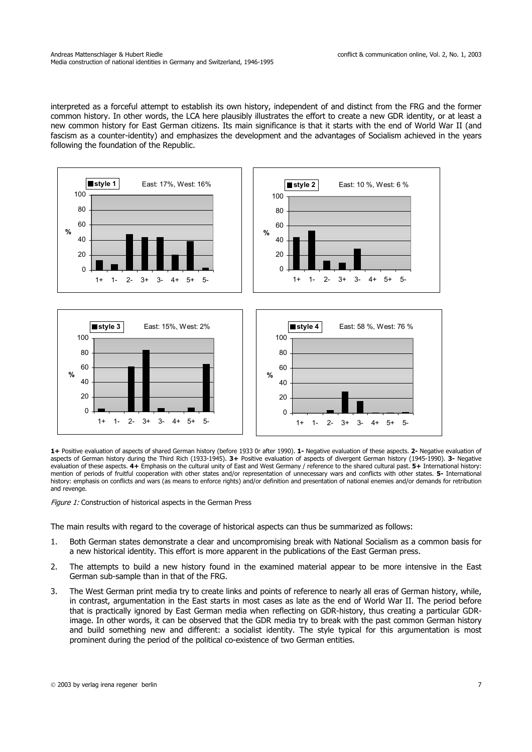interpreted as a forceful attempt to establish its own history, independent of and distinct from the FRG and the former common history. In other words, the LCA here plausibly illustrates the effort to create a new GDR identity, or at least a new common history for East German citizens. Its main significance is that it starts with the end of World War II (and fascism as a counter-identity) and emphasizes the development and the advantages of Socialism achieved in the years following the foundation of the Republic.



**1+** Positive evaluation of aspects of shared German history (before 1933 0r after 1990). **1-** Negative evaluation of these aspects. **2-** Negative evaluation of aspects of German history during the Third Rich (1933-1945). **3+** Positive evaluation of aspects of divergent German history (1945-1990). **3-** Negative evaluation of these aspects. **4+** Emphasis on the cultural unity of East and West Germany / reference to the shared cultural past. **5+** International history: mention of periods of fruitful cooperation with other states and/or representation of unnecessary wars and conflicts with other states. **5-** International history: emphasis on conflicts and wars (as means to enforce rights) and/or definition and presentation of national enemies and/or demands for retribution and revenge.

Figure 1: Construction of historical aspects in the German Press

The main results with regard to the coverage of historical aspects can thus be summarized as follows:

- 1. Both German states demonstrate a clear and uncompromising break with National Socialism as a common basis for a new historical identity. This effort is more apparent in the publications of the East German press.
- 2. The attempts to build a new history found in the examined material appear to be more intensive in the East German sub-sample than in that of the FRG.
- 3. The West German print media try to create links and points of reference to nearly all eras of German history, while, in contrast, argumentation in the East starts in most cases as late as the end of World War II. The period before that is practically ignored by East German media when reflecting on GDR-history, thus creating a particular GDRimage. In other words, it can be observed that the GDR media try to break with the past common German history and build something new and different: a socialist identity. The style typical for this argumentation is most prominent during the period of the political co-existence of two German entities.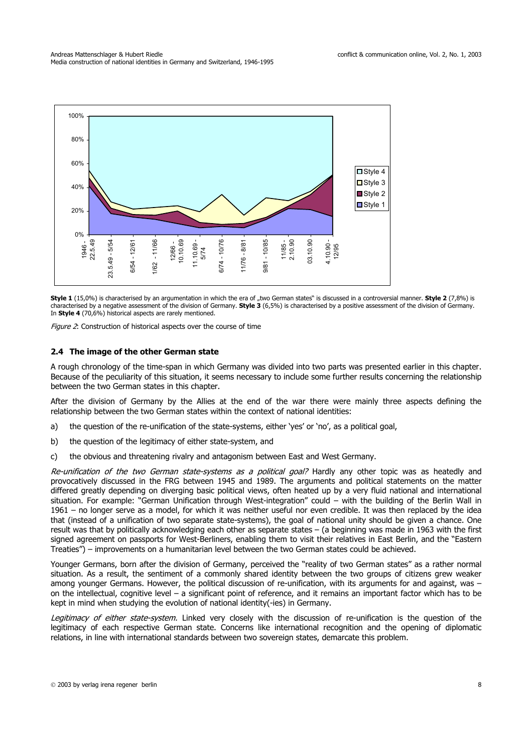

**Style 1** (15,0%) is characterised by an argumentation in which the era of "two German states" is discussed in a controversial manner. **Style 2** (7,8%) is characterised by a negative assessment of the division of Germany. **Style 3** (6,5%) is characterised by a positive assessment of the division of Germany. In **Style 4** (70,6%) historical aspects are rarely mentioned.

Figure 2: Construction of historical aspects over the course of time

### **2.4 The image of the other German state**

A rough chronology of the time-span in which Germany was divided into two parts was presented earlier in this chapter. Because of the peculiarity of this situation, it seems necessary to include some further results concerning the relationship between the two German states in this chapter.

After the division of Germany by the Allies at the end of the war there were mainly three aspects defining the relationship between the two German states within the context of national identities:

- a) the question of the re-unification of the state-systems, either 'yes' or 'no', as a political goal,
- b) the question of the legitimacy of either state-system, and
- c) the obvious and threatening rivalry and antagonism between East and West Germany.

Re-unification of the two German state-systems as a political goal? Hardly any other topic was as heatedly and provocatively discussed in the FRG between 1945 and 1989. The arguments and political statements on the matter differed greatly depending on diverging basic political views, often heated up by a very fluid national and international situation. For example: "German Unification through West-integration" could – with the building of the Berlin Wall in 1961 – no longer serve as a model, for which it was neither useful nor even credible. It was then replaced by the idea that (instead of a unification of two separate state-systems), the goal of national unity should be given a chance. One result was that by politically acknowledging each other as separate states – (a beginning was made in 1963 with the first signed agreement on passports for West-Berliners, enabling them to visit their relatives in East Berlin, and the "Eastern Treaties") – improvements on a humanitarian level between the two German states could be achieved.

Younger Germans, born after the division of Germany, perceived the "reality of two German states" as a rather normal situation. As a result, the sentiment of a commonly shared identity between the two groups of citizens grew weaker among younger Germans. However, the political discussion of re-unification, with its arguments for and against, was – on the intellectual, cognitive level – a significant point of reference, and it remains an important factor which has to be kept in mind when studying the evolution of national identity(-ies) in Germany.

Legitimacy of either state-system. Linked very closely with the discussion of re-unification is the question of the legitimacy of each respective German state. Concerns like international recognition and the opening of diplomatic relations, in line with international standards between two sovereign states, demarcate this problem.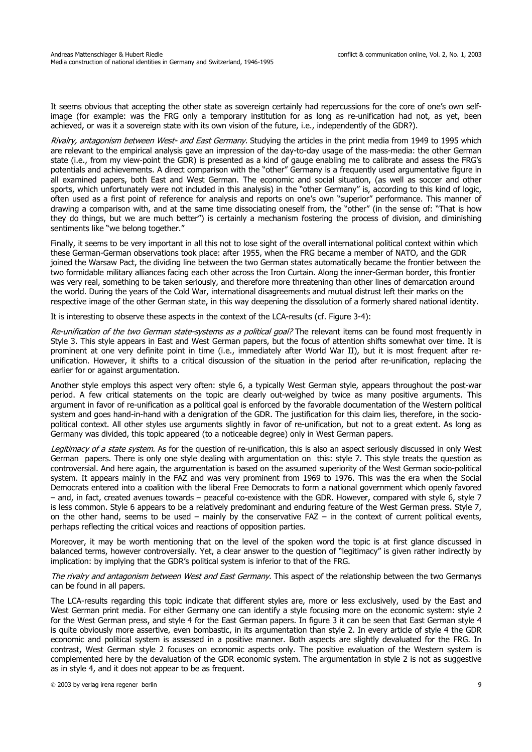It seems obvious that accepting the other state as sovereign certainly had repercussions for the core of one's own selfimage (for example: was the FRG only a temporary institution for as long as re-unification had not, as yet, been achieved, or was it a sovereign state with its own vision of the future, i.e., independently of the GDR?).

Rivalry, antagonism between West- and East Germany. Studying the articles in the print media from 1949 to 1995 which are relevant to the empirical analysis gave an impression of the day-to-day usage of the mass-media: the other German state (i.e., from my view-point the GDR) is presented as a kind of gauge enabling me to calibrate and assess the FRG's potentials and achievements. A direct comparison with the "other" Germany is a frequently used argumentative figure in all examined papers, both East and West German. The economic and social situation, (as well as soccer and other sports, which unfortunately were not included in this analysis) in the "other Germany" is, according to this kind of logic, often used as a first point of reference for analysis and reports on one's own "superior" performance. This manner of drawing a comparison with, and at the same time dissociating oneself from, the "other" (in the sense of: "That is how they do things, but we are much better") is certainly a mechanism fostering the process of division, and diminishing sentiments like "we belong together."

Finally, it seems to be very important in all this not to lose sight of the overall international political context within which these German-German observations took place: after 1955, when the FRG became a member of NATO, and the GDR joined the Warsaw Pact, the dividing line between the two German states automatically became the frontier between the two formidable military alliances facing each other across the Iron Curtain. Along the inner-German border, this frontier was very real, something to be taken seriously, and therefore more threatening than other lines of demarcation around the world. During the years of the Cold War, international disagreements and mutual distrust left their marks on the respective image of the other German state, in this way deepening the dissolution of a formerly shared national identity.

It is interesting to observe these aspects in the context of the LCA-results (cf. Figure 3-4):

Re-unification of the two German state-systems as a political goal? The relevant items can be found most frequently in Style 3. This style appears in East and West German papers, but the focus of attention shifts somewhat over time. It is prominent at one very definite point in time (i.e., immediately after World War II), but it is most frequent after reunification. However, it shifts to a critical discussion of the situation in the period after re-unification, replacing the earlier for or against argumentation.

Another style employs this aspect very often: style 6, a typically West German style, appears throughout the post-war period. A few critical statements on the topic are clearly out-weighed by twice as many positive arguments. This argument in favor of re-unification as a political goal is enforced by the favorable documentation of the Western political system and goes hand-in-hand with a denigration of the GDR. The justification for this claim lies, therefore, in the sociopolitical context. All other styles use arguments slightly in favor of re-unification, but not to a great extent. As long as Germany was divided, this topic appeared (to a noticeable degree) only in West German papers.

Legitimacy of a state system. As for the question of re-unification, this is also an aspect seriously discussed in only West German papers. There is only one style dealing with argumentation on this: style 7. This style treats the question as controversial. And here again, the argumentation is based on the assumed superiority of the West German socio-political system. It appears mainly in the FAZ and was very prominent from 1969 to 1976. This was the era when the Social Democrats entered into a coalition with the liberal Free Democrats to form a national government which openly favored – and, in fact, created avenues towards – peaceful co-existence with the GDR. However, compared with style 6, style 7 is less common. Style 6 appears to be a relatively predominant and enduring feature of the West German press. Style 7, on the other hand, seems to be used – mainly by the conservative  $FAZ - in$  the context of current political events, perhaps reflecting the critical voices and reactions of opposition parties.

Moreover, it may be worth mentioning that on the level of the spoken word the topic is at first glance discussed in balanced terms, however controversially. Yet, a clear answer to the question of "legitimacy" is given rather indirectly by implication: by implying that the GDR's political system is inferior to that of the FRG.

The rivalry and antagonism between West and East Germany. This aspect of the relationship between the two Germanys can be found in all papers.

The LCA-results regarding this topic indicate that different styles are, more or less exclusively, used by the East and West German print media. For either Germany one can identify a style focusing more on the economic system: style 2 for the West German press, and style 4 for the East German papers. In figure 3 it can be seen that East German style 4 is quite obviously more assertive, even bombastic, in its argumentation than style 2. In every article of style 4 the GDR economic and political system is assessed in a positive manner. Both aspects are slightly devaluated for the FRG. In contrast, West German style 2 focuses on economic aspects only. The positive evaluation of the Western system is complemented here by the devaluation of the GDR economic system. The argumentation in style 2 is not as suggestive as in style 4, and it does not appear to be as frequent.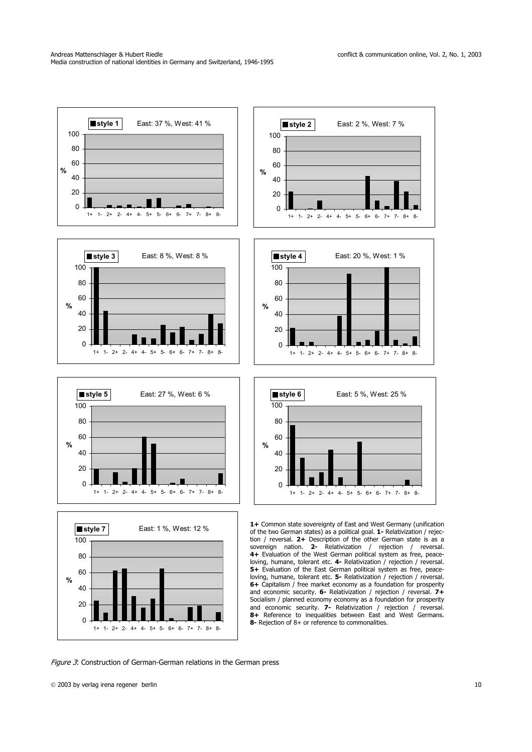

Figure 3: Construction of German-German relations in the German press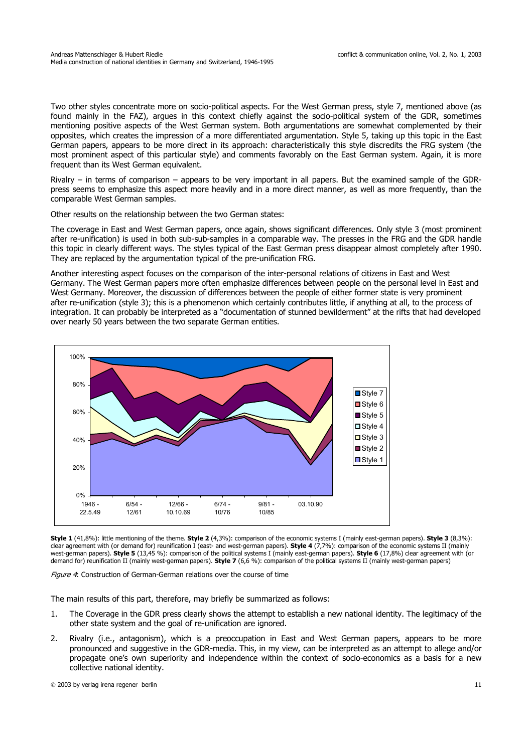Two other styles concentrate more on socio-political aspects. For the West German press, style 7, mentioned above (as found mainly in the FAZ), argues in this context chiefly against the socio-political system of the GDR, sometimes mentioning positive aspects of the West German system. Both argumentations are somewhat complemented by their opposites, which creates the impression of a more differentiated argumentation. Style 5, taking up this topic in the East German papers, appears to be more direct in its approach: characteristically this style discredits the FRG system (the most prominent aspect of this particular style) and comments favorably on the East German system. Again, it is more frequent than its West German equivalent.

Rivalry – in terms of comparison – appears to be very important in all papers. But the examined sample of the GDRpress seems to emphasize this aspect more heavily and in a more direct manner, as well as more frequently, than the comparable West German samples.

Other results on the relationship between the two German states:

The coverage in East and West German papers, once again, shows significant differences. Only style 3 (most prominent after re-unification) is used in both sub-sub-samples in a comparable way. The presses in the FRG and the GDR handle this topic in clearly different ways. The styles typical of the East German press disappear almost completely after 1990. They are replaced by the argumentation typical of the pre-unification FRG.

Another interesting aspect focuses on the comparison of the inter-personal relations of citizens in East and West Germany. The West German papers more often emphasize differences between people on the personal level in East and West Germany. Moreover, the discussion of differences between the people of either former state is very prominent after re-unification (style 3); this is a phenomenon which certainly contributes little, if anything at all, to the process of integration. It can probably be interpreted as a "documentation of stunned bewilderment" at the rifts that had developed over nearly 50 years between the two separate German entities.



**Style 1** (41,8%): little mentioning of the theme. **Style 2** (4,3%): comparison of the economic systems I (mainly east-german papers). **Style 3** (8,3%): clear agreement with (or demand for) reunification I (east- and west-german papers). **Style 4** (7,7%): comparison of the economic systems II (mainly west-german papers). **Style 5** (13,45 %): comparison of the political systems I (mainly east-german papers). **Style 6** (17,8%) clear agreement with (or demand for) reunification II (mainly west-german papers). **Style 7** (6,6 %): comparison of the political systems II (mainly west-german papers)

Figure 4: Construction of German-German relations over the course of time

The main results of this part, therefore, may briefly be summarized as follows:

- 1. The Coverage in the GDR press clearly shows the attempt to establish a new national identity. The legitimacy of the other state system and the goal of re-unification are ignored.
- 2. Rivalry (i.e., antagonism), which is a preoccupation in East and West German papers, appears to be more pronounced and suggestive in the GDR-media. This, in my view, can be interpreted as an attempt to allege and/or propagate one's own superiority and independence within the context of socio-economics as a basis for a new collective national identity.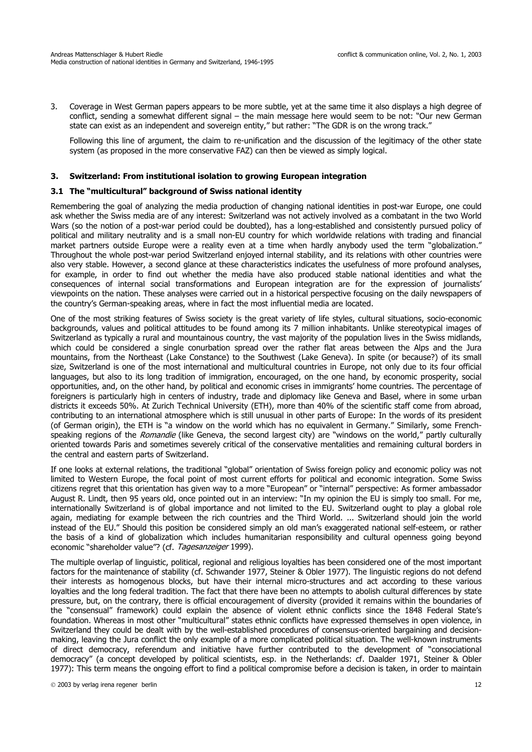3. Coverage in West German papers appears to be more subtle, yet at the same time it also displays a high degree of conflict, sending a somewhat different signal – the main message here would seem to be not: "Our new German state can exist as an independent and sovereign entity," but rather: "The GDR is on the wrong track."

Following this line of argument, the claim to re-unification and the discussion of the legitimacy of the other state system (as proposed in the more conservative FAZ) can then be viewed as simply logical.

### **3. Switzerland: From institutional isolation to growing European integration**

### **3.1 The "multicultural" background of Swiss national identity**

Remembering the goal of analyzing the media production of changing national identities in post-war Europe, one could ask whether the Swiss media are of any interest: Switzerland was not actively involved as a combatant in the two World Wars (so the notion of a post-war period could be doubted), has a long-established and consistently pursued policy of political and military neutrality and is a small non-EU country for which worldwide relations with trading and financial market partners outside Europe were a reality even at a time when hardly anybody used the term "globalization." Throughout the whole post-war period Switzerland enjoyed internal stability, and its relations with other countries were also very stable. However, a second glance at these characteristics indicates the usefulness of more profound analyses, for example, in order to find out whether the media have also produced stable national identities and what the consequences of internal social transformations and European integration are for the expression of journalists' viewpoints on the nation. These analyses were carried out in a historical perspective focusing on the daily newspapers of the country's German-speaking areas, where in fact the most influential media are located.

One of the most striking features of Swiss society is the great variety of life styles, cultural situations, socio-economic backgrounds, values and political attitudes to be found among its 7 million inhabitants. Unlike stereotypical images of Switzerland as typically a rural and mountainous country, the vast majority of the population lives in the Swiss midlands, which could be considered a single conurbation spread over the rather flat areas between the Alps and the Jura mountains, from the Northeast (Lake Constance) to the Southwest (Lake Geneva). In spite (or because?) of its small size, Switzerland is one of the most international and multicultural countries in Europe, not only due to its four official languages, but also to its long tradition of immigration, encouraged, on the one hand, by economic prosperity, social opportunities, and, on the other hand, by political and economic crises in immigrants' home countries. The percentage of foreigners is particularly high in centers of industry, trade and diplomacy like Geneva and Basel, where in some urban districts it exceeds 50%. At Zurich Technical University (ETH), more than 40% of the scientific staff come from abroad, contributing to an international atmosphere which is still unusual in other parts of Europe: In the words of its president (of German origin), the ETH is "a window on the world which has no equivalent in Germany." Similarly, some Frenchspeaking regions of the Romandie (like Geneva, the second largest city) are "windows on the world," partly culturally oriented towards Paris and sometimes severely critical of the conservative mentalities and remaining cultural borders in the central and eastern parts of Switzerland.

If one looks at external relations, the traditional "global" orientation of Swiss foreign policy and economic policy was not limited to Western Europe, the focal point of most current efforts for political and economic integration. Some Swiss citizens regret that this orientation has given way to a more "European" or "internal" perspective: As former ambassador August R. Lindt, then 95 years old, once pointed out in an interview: "In my opinion the EU is simply too small. For me, internationally Switzerland is of global importance and not limited to the EU. Switzerland ought to play a global role again, mediating for example between the rich countries and the Third World. ... Switzerland should join the world instead of the EU." Should this position be considered simply an old man's exaggerated national self-esteem, or rather the basis of a kind of globalization which includes humanitarian responsibility and cultural openness going beyond economic "shareholder value"? (cf. Tagesanzeiger 1999).

The multiple overlap of linguistic, political, regional and religious loyalties has been considered one of the most important factors for the maintenance of stability (cf. Schwander 1977, Steiner & Obler 1977). The linguistic regions do not defend their interests as homogenous blocks, but have their internal micro-structures and act according to these various loyalties and the long federal tradition. The fact that there have been no attempts to abolish cultural differences by state pressure, but, on the contrary, there is official encouragement of diversity (provided it remains within the boundaries of the "consensual" framework) could explain the absence of violent ethnic conflicts since the 1848 Federal State's foundation. Whereas in most other "multicultural" states ethnic conflicts have expressed themselves in open violence, in Switzerland they could be dealt with by the well-established procedures of consensus-oriented bargaining and decisionmaking, leaving the Jura conflict the only example of a more complicated political situation. The well-known instruments of direct democracy, referendum and initiative have further contributed to the development of "consociational democracy" (a concept developed by political scientists, esp. in the Netherlands: cf. Daalder 1971, Steiner & Obler 1977): This term means the ongoing effort to find a political compromise before a decision is taken, in order to maintain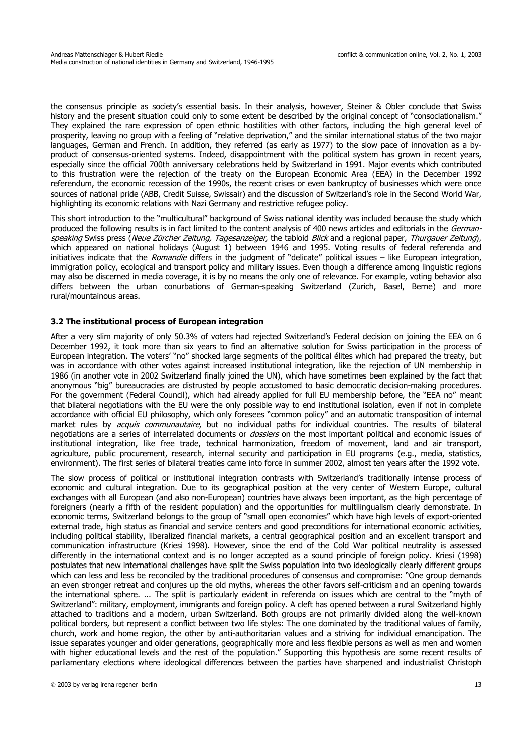the consensus principle as society's essential basis. In their analysis, however, Steiner & Obler conclude that Swiss history and the present situation could only to some extent be described by the original concept of "consociationalism." They explained the rare expression of open ethnic hostilities with other factors, including the high general level of prosperity, leaving no group with a feeling of "relative deprivation," and the similar international status of the two major languages, German and French. In addition, they referred (as early as 1977) to the slow pace of innovation as a byproduct of consensus-oriented systems. Indeed, disappointment with the political system has grown in recent years, especially since the official 700th anniversary celebrations held by Switzerland in 1991. Major events which contributed to this frustration were the rejection of the treaty on the European Economic Area (EEA) in the December 1992 referendum, the economic recession of the 1990s, the recent crises or even bankruptcy of businesses which were once sources of national pride (ABB, Credit Suisse, Swissair) and the discussion of Switzerland's role in the Second World War, highlighting its economic relations with Nazi Germany and restrictive refugee policy.

This short introduction to the "multicultural" background of Swiss national identity was included because the study which produced the following results is in fact limited to the content analysis of 400 news articles and editorials in the Germanspeaking Swiss press (Neue Zürcher Zeitung, Tagesanzeiger, the tabloid Blick and a regional paper, Thurgauer Zeitung), which appeared on national holidays (August 1) between 1946 and 1995. Voting results of federal referenda and initiatives indicate that the Romandie differs in the judgment of "delicate" political issues - like European integration, immigration policy, ecological and transport policy and military issues. Even though a difference among linguistic regions may also be discerned in media coverage, it is by no means the only one of relevance. For example, voting behavior also differs between the urban conurbations of German-speaking Switzerland (Zurich, Basel, Berne) and more rural/mountainous areas.

### **3.2 The institutional process of European integration**

After a very slim majority of only 50.3% of voters had rejected Switzerland's Federal decision on joining the EEA on 6 December 1992, it took more than six years to find an alternative solution for Swiss participation in the process of European integration. The voters' "no" shocked large segments of the political élites which had prepared the treaty, but was in accordance with other votes against increased institutional integration, like the rejection of UN membership in 1986 (in another vote in 2002 Switzerland finally joined the UN), which have sometimes been explained by the fact that anonymous "big" bureaucracies are distrusted by people accustomed to basic democratic decision-making procedures. For the government (Federal Council), which had already applied for full EU membership before, the "EEA no" meant that bilateral negotiations with the EU were the only possible way to end institutional isolation, even if not in complete accordance with official EU philosophy, which only foresees "common policy" and an automatic transposition of internal market rules by *acquis communautaire*, but no individual paths for individual countries. The results of bilateral negotiations are a series of interrelated documents or *dossiers* on the most important political and economic issues of institutional integration, like free trade, technical harmonization, freedom of movement, land and air transport, agriculture, public procurement, research, internal security and participation in EU programs (e.g., media, statistics, environment). The first series of bilateral treaties came into force in summer 2002, almost ten years after the 1992 vote.

The slow process of political or institutional integration contrasts with Switzerland's traditionally intense process of economic and cultural integration. Due to its geographical position at the very center of Western Europe, cultural exchanges with all European (and also non-European) countries have always been important, as the high percentage of foreigners (nearly a fifth of the resident population) and the opportunities for multilingualism clearly demonstrate. In economic terms, Switzerland belongs to the group of "small open economies" which have high levels of export-oriented external trade, high status as financial and service centers and good preconditions for international economic activities, including political stability, liberalized financial markets, a central geographical position and an excellent transport and communication infrastructure (Kriesi 1998). However, since the end of the Cold War political neutrality is assessed differently in the international context and is no longer accepted as a sound principle of foreign policy. Kriesi (1998) postulates that new international challenges have split the Swiss population into two ideologically clearly different groups which can less and less be reconciled by the traditional procedures of consensus and compromise: "One group demands an even stronger retreat and conjures up the old myths, whereas the other favors self-criticism and an opening towards the international sphere. ... The split is particularly evident in referenda on issues which are central to the "myth of Switzerland": military, employment, immigrants and foreign policy. A cleft has opened between a rural Switzerland highly attached to traditions and a modern, urban Switzerland. Both groups are not primarily divided along the well-known political borders, but represent a conflict between two life styles: The one dominated by the traditional values of family, church, work and home region, the other by anti-authoritarian values and a striving for individual emancipation. The issue separates younger and older generations, geographically more and less flexible persons as well as men and women with higher educational levels and the rest of the population." Supporting this hypothesis are some recent results of parliamentary elections where ideological differences between the parties have sharpened and industrialist Christoph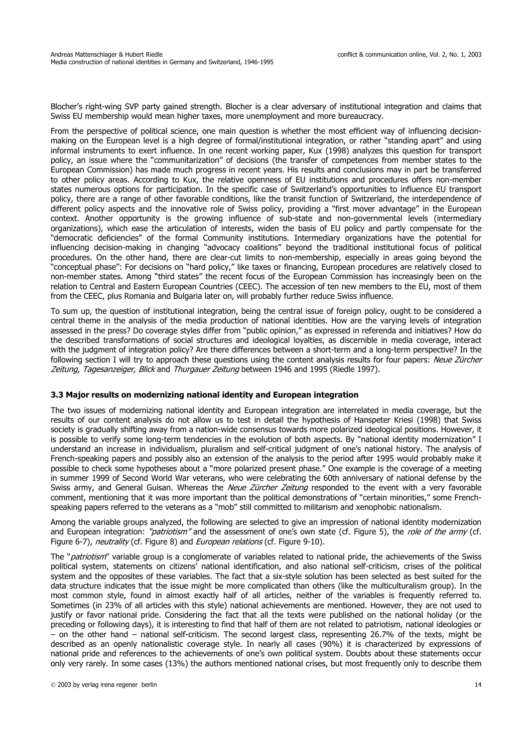Blocher's right-wing SVP party gained strength. Blocher is a clear adversary of institutional integration and claims that Swiss EU membership would mean higher taxes, more unemployment and more bureaucracy.

From the perspective of political science, one main question is whether the most efficient way of influencing decisionmaking on the European level is a high degree of formal/institutional integration, or rather "standing apart" and using informal instruments to exert influence. In one recent working paper, Kux (1998) analyzes this question for transport policy, an issue where the "communitarization" of decisions (the transfer of competences from member states to the European Commission) has made much progress in recent years. His results and conclusions may in part be transferred to other policy areas. According to Kux, the relative openness of EU institutions and procedures offers non-member states numerous options for participation. In the specific case of Switzerland's opportunities to influence EU transport policy, there are a range of other favorable conditions, like the transit function of Switzerland, the interdependence of different policy aspects and the innovative role of Swiss policy, providing a "first mover advantage" in the European context. Another opportunity is the growing influence of sub-state and non-governmental levels (intermediary organizations), which ease the articulation of interests, widen the basis of EU policy and partly compensate for the "democratic deficiencies" of the formal Community institutions. Intermediary organizations have the potential for influencing decision-making in changing "advocacy coalitions" beyond the traditional institutional focus of political procedures. On the other hand, there are clear-cut limits to non-membership, especially in areas going beyond the "conceptual phase": For decisions on "hard policy," like taxes or financing, European procedures are relatively closed to non-member states. Among "third states" the recent focus of the European Commission has increasingly been on the relation to Central and Eastern European Countries (CEEC). The accession of ten new members to the EU, most of them from the CEEC, plus Romania and Bulgaria later on, will probably further reduce Swiss influence.

To sum up, the question of institutional integration, being the central issue of foreign policy, ought to be considered a central theme in the analysis of the media production of national identities. How are the varying levels of integration assessed in the press? Do coverage styles differ from "public opinion," as expressed in referenda and initiatives? How do the described transformations of social structures and ideological loyalties, as discernible in media coverage, interact with the judgment of integration policy? Are there differences between a short-term and a long-term perspective? In the following section I will try to approach these questions using the content analysis results for four papers: Neue Zürcher Zeitung, Tagesanzeiger, Blick and Thurgauer Zeitung between 1946 and 1995 (Riedle 1997).

### **3.3 Major results on modernizing national identity and European integration**

The two issues of modernizing national identity and European integration are interrelated in media coverage, but the results of our content analysis do not allow us to test in detail the hypothesis of Hanspeter Kriesi (1998) that Swiss society is gradually shifting away from a nation-wide consensus towards more polarized ideological positions. However, it is possible to verify some long-term tendencies in the evolution of both aspects. By "national identity modernization" I understand an increase in individualism, pluralism and self-critical judgment of one's national history. The analysis of French-speaking papers and possibly also an extension of the analysis to the period after 1995 would probably make it possible to check some hypotheses about a "more polarized present phase." One example is the coverage of a meeting in summer 1999 of Second World War veterans, who were celebrating the 60th anniversary of national defense by the Swiss army, and General Guisan. Whereas the Neue Zürcher Zeitung responded to the event with a very favorable comment, mentioning that it was more important than the political demonstrations of "certain minorities," some Frenchspeaking papers referred to the veterans as a "mob" still committed to militarism and xenophobic nationalism.

Among the variable groups analyzed, the following are selected to give an impression of national identity modernization and European integration: "patriotism" and the assessment of one's own state (cf. Figure 5), the role of the army (cf. Figure 6-7), *neutrality* (cf. Figure 8) and *European relations* (cf. Figure 9-10).

The "*patriotism*" variable group is a conglomerate of variables related to national pride, the achievements of the Swiss political system, statements on citizens' national identification, and also national self-criticism, crises of the political system and the opposites of these variables. The fact that a six-style solution has been selected as best suited for the data structure indicates that the issue might be more complicated than others (like the multiculturalism group). In the most common style, found in almost exactly half of all articles, neither of the variables is frequently referred to. Sometimes (in 23% of all articles with this style) national achievements are mentioned. However, they are not used to justify or favor national pride. Considering the fact that all the texts were published on the national holiday (or the preceding or following days), it is interesting to find that half of them are not related to patriotism, national ideologies or – on the other hand – national self-criticism. The second largest class, representing 26.7% of the texts, might be described as an openly nationalistic coverage style. In nearly all cases (90%) it is characterized by expressions of national pride and references to the achievements of one's own political system. Doubts about these statements occur only very rarely. In some cases (13%) the authors mentioned national crises, but most frequently only to describe them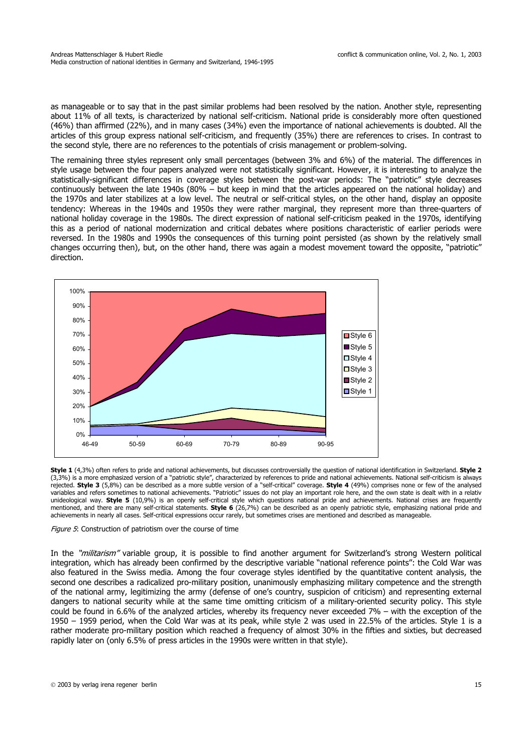as manageable or to say that in the past similar problems had been resolved by the nation. Another style, representing about 11% of all texts, is characterized by national self-criticism. National pride is considerably more often questioned (46%) than affirmed (22%), and in many cases (34%) even the importance of national achievements is doubted. All the articles of this group express national self-criticism, and frequently (35%) there are references to crises. In contrast to the second style, there are no references to the potentials of crisis management or problem-solving.

The remaining three styles represent only small percentages (between 3% and 6%) of the material. The differences in style usage between the four papers analyzed were not statistically significant. However, it is interesting to analyze the statistically-significant differences in coverage styles between the post-war periods: The "patriotic" style decreases continuously between the late 1940s (80% – but keep in mind that the articles appeared on the national holiday) and the 1970s and later stabilizes at a low level. The neutral or self-critical styles, on the other hand, display an opposite tendency: Whereas in the 1940s and 1950s they were rather marginal, they represent more than three-quarters of national holiday coverage in the 1980s. The direct expression of national self-criticism peaked in the 1970s, identifying this as a period of national modernization and critical debates where positions characteristic of earlier periods were reversed. In the 1980s and 1990s the consequences of this turning point persisted (as shown by the relatively small changes occurring then), but, on the other hand, there was again a modest movement toward the opposite, "patriotic" direction.



**Style 1** (4,3%) often refers to pride and national achievements, but discusses controversially the question of national identification in Switzerland. **Style 2** (3,3%) is a more emphasized version of a "patriotic style", characterized by references to pride and national achievements. National self-criticism is always rejected. **Style 3** (5,8%) can be described as a more subtle version of a "self-critical" coverage. **Style 4** (49%) comprises none or few of the analysed variables and refers sometimes to national achievements. "Patriotic" issues do not play an important role here, and the own state is dealt with in a relativ unideological way. **Style 5** (10,9%) is an openly self-critical style which questions national pride and achievements. National crises are frequently mentioned, and there are many self-critical statements. **Style 6** (26,7%) can be described as an openly patriotic style, emphasizing national pride and achievements in nearly all cases. Self-critical expressions occur rarely, but sometimes crises are mentioned and described as manageable.

Figure 5: Construction of patriotism over the course of time

In the "*militarism"* variable group, it is possible to find another argument for Switzerland's strong Western political integration, which has already been confirmed by the descriptive variable "national reference points": the Cold War was also featured in the Swiss media. Among the four coverage styles identified by the quantitative content analysis, the second one describes a radicalized pro-military position, unanimously emphasizing military competence and the strength of the national army, legitimizing the army (defense of one's country, suspicion of criticism) and representing external dangers to national security while at the same time omitting criticism of a military-oriented security policy. This style could be found in 6.6% of the analyzed articles, whereby its frequency never exceeded 7% – with the exception of the 1950 – 1959 period, when the Cold War was at its peak, while style 2 was used in 22.5% of the articles. Style 1 is a rather moderate pro-military position which reached a frequency of almost 30% in the fifties and sixties, but decreased rapidly later on (only 6.5% of press articles in the 1990s were written in that style).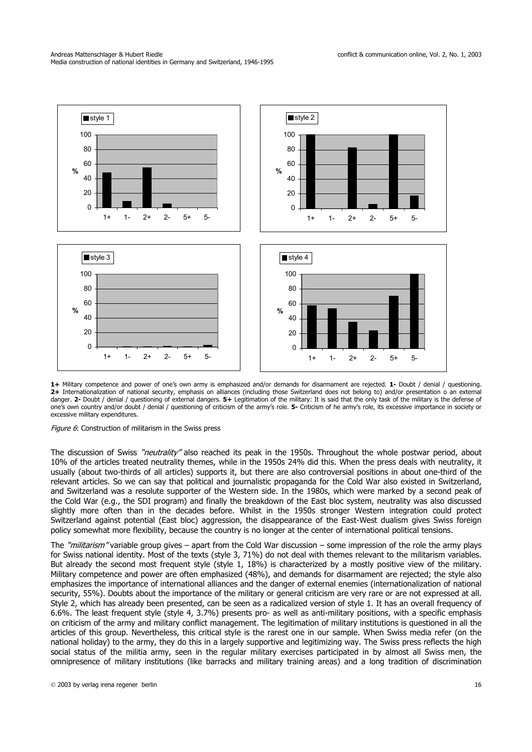

**1+** Military competence and power of one's own army is emphasized and/or demands for disarmament are rejected. **1-** Doubt / denial / questioning. **2+** Internationalization of national security, emphasis on alliances (including those Switzerland does not belong to) and/or presentation o an external danger. **2-** Doubt / denial / questioning of external dangers. **5+** Legitimation of the military: It is said that the only task of the military is the defense of one's own country and/or doubt / denial / questioning of criticism of the army's role. **5-** Criticism of he army's role, its excessive importance in society or excessive military expenditures.

Figure 6: Construction of militarism in the Swiss press

The discussion of Swiss "neutrality" also reached its peak in the 1950s. Throughout the whole postwar period, about 10% of the articles treated neutrality themes, while in the 1950s 24% did this. When the press deals with neutrality, it usually (about two-thirds of all articles) supports it, but there are also controversial positions in about one-third of the relevant articles. So we can say that political and journalistic propaganda for the Cold War also existed in Switzerland, and Switzerland was a resolute supporter of the Western side. In the 1980s, which were marked by a second peak of the Cold War (e.g., the SDI program) and finally the breakdown of the East bloc system, neutrality was also discussed slightly more often than in the decades before. Whilst in the 1950s stronger Western integration could protect Switzerland against potential (East bloc) aggression, the disappearance of the East-West dualism gives Swiss foreign policy somewhat more flexibility, because the country is no longer at the center of international political tensions.

The "*militarism*" variable group gives – apart from the Cold War discussion – some impression of the role the army plays for Swiss national identity. Most of the texts (style 3, 71%) do not deal with themes relevant to the militarism variables. But already the second most frequent style (style 1, 18%) is characterized by a mostly positive view of the military. Military competence and power are often emphasized (48%), and demands for disarmament are rejected; the style also emphasizes the importance of international alliances and the danger of external enemies (internationalization of national security, 55%). Doubts about the importance of the military or general criticism are very rare or are not expressed at all. Style 2, which has already been presented, can be seen as a radicalized version of style 1. It has an overall frequency of 6.6%. The least frequent style (style 4, 3.7%) presents pro- as well as anti-military positions, with a specific emphasis on criticism of the army and military conflict management. The legitimation of military institutions is questioned in all the articles of this group. Nevertheless, this critical style is the rarest one in our sample. When Swiss media refer (on the national holiday) to the army, they do this in a largely supportive and legitimizing way. The Swiss press reflects the high social status of the militia army, seen in the regular military exercises participated in by almost all Swiss men, the omnipresence of military institutions (like barracks and military training areas) and a long tradition of discrimination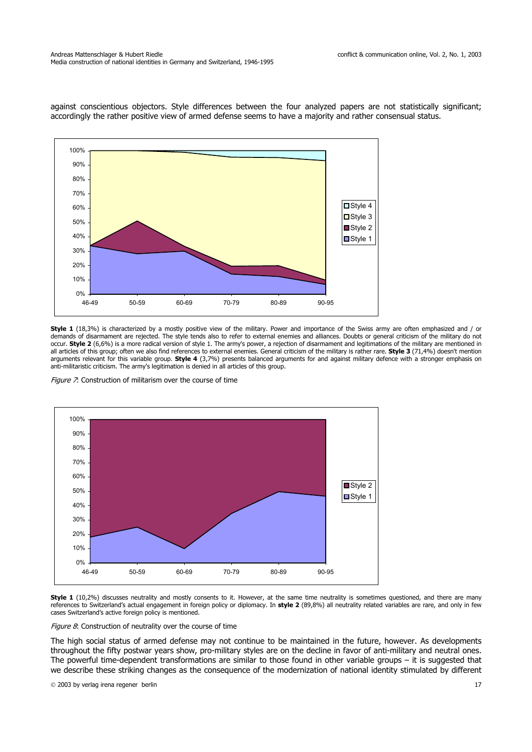against conscientious objectors. Style differences between the four analyzed papers are not statistically significant; accordingly the rather positive view of armed defense seems to have a majority and rather consensual status.



**Style 1** (18,3%) is characterized by a mostly positive view of the military. Power and importance of the Swiss army are often emphasized and / or demands of disarmament are rejected. The style tends also to refer to external enemies and alliances. Doubts or general criticism of the military do not occur. **Style 2** (6,6%) is a more radical version of style 1. The army's power, a rejection of disarmament and legitimations of the military are mentioned in all articles of this group; often we also find references to external enemies. General criticism of the military is rather rare. **Style 3** (71,4%) doesn't mention arguments relevant for this variable group. **Style 4** (3,7%) presents balanced arguments for and against military defence with a stronger emphasis on anti-militaristic criticism. The army's legitimation is denied in all articles of this group.

Figure 7: Construction of militarism over the course of time



**Style 1** (10,2%) discusses neutrality and mostly consents to it. However, at the same time neutrality is sometimes questioned, and there are many references to Switzerland's actual engagement in foreign policy or diplomacy. In **style 2** (89,8%) all neutrality related variables are rare, and only in few cases Switzerland's active foreign policy is mentioned.

Figure  $8$ : Construction of neutrality over the course of time

The high social status of armed defense may not continue to be maintained in the future, however. As developments throughout the fifty postwar years show, pro-military styles are on the decline in favor of anti-military and neutral ones. The powerful time-dependent transformations are similar to those found in other variable groups – it is suggested that we describe these striking changes as the consequence of the modernization of national identity stimulated by different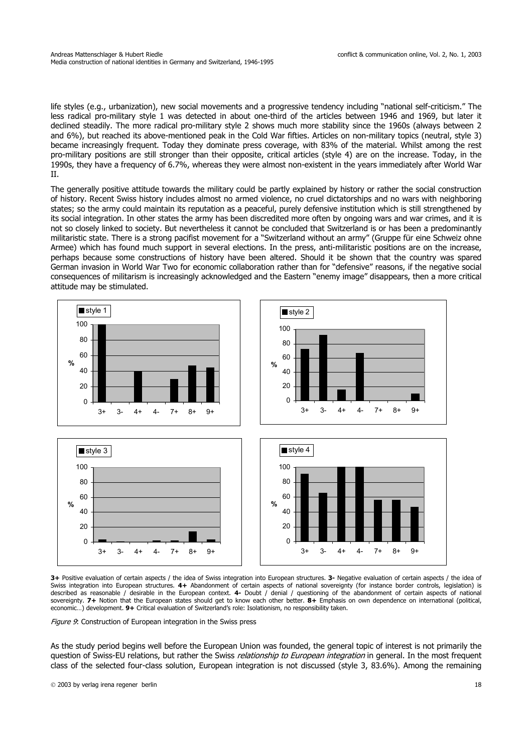life styles (e.g., urbanization), new social movements and a progressive tendency including "national self-criticism." The less radical pro-military style 1 was detected in about one-third of the articles between 1946 and 1969, but later it declined steadily. The more radical pro-military style 2 shows much more stability since the 1960s (always between 2 and 6%), but reached its above-mentioned peak in the Cold War fifties. Articles on non-military topics (neutral, style 3) became increasingly frequent. Today they dominate press coverage, with 83% of the material. Whilst among the rest pro-military positions are still stronger than their opposite, critical articles (style 4) are on the increase. Today, in the 1990s, they have a frequency of 6.7%, whereas they were almost non-existent in the years immediately after World War II.

The generally positive attitude towards the military could be partly explained by history or rather the social construction of history. Recent Swiss history includes almost no armed violence, no cruel dictatorships and no wars with neighboring states; so the army could maintain its reputation as a peaceful, purely defensive institution which is still strengthened by its social integration. In other states the army has been discredited more often by ongoing wars and war crimes, and it is not so closely linked to society. But nevertheless it cannot be concluded that Switzerland is or has been a predominantly militaristic state. There is a strong pacifist movement for a "Switzerland without an army" (Gruppe für eine Schweiz ohne Armee) which has found much support in several elections. In the press, anti-militaristic positions are on the increase, perhaps because some constructions of history have been altered. Should it be shown that the country was spared German invasion in World War Two for economic collaboration rather than for "defensive" reasons, if the negative social consequences of militarism is increasingly acknowledged and the Eastern "enemy image" disappears, then a more critical attitude may be stimulated.



**3+** Positive evaluation of certain aspects / the idea of Swiss integration into European structures. **3-** Negative evaluation of certain aspects / the idea of Swiss integration into European structures. **4+** Abandonment of certain aspects of national sovereignty (for instance border controls, legislation) is described as reasonable / desirable in the European context. **4-** Doubt / denial / questioning of the abandonment of certain aspects of national sovereignty. **7+** Notion that the European states should get to know each other better. **8+** Emphasis on own dependence on international (political, economic…) development. **9+** Critical evaluation of Switzerland's role: Isolationism, no responsibility taken.

Figure 9: Construction of European integration in the Swiss press

As the study period begins well before the European Union was founded, the general topic of interest is not primarily the question of Swiss-EU relations, but rather the Swiss relationship to European integration in general. In the most frequent class of the selected four-class solution, European integration is not discussed (style 3, 83.6%). Among the remaining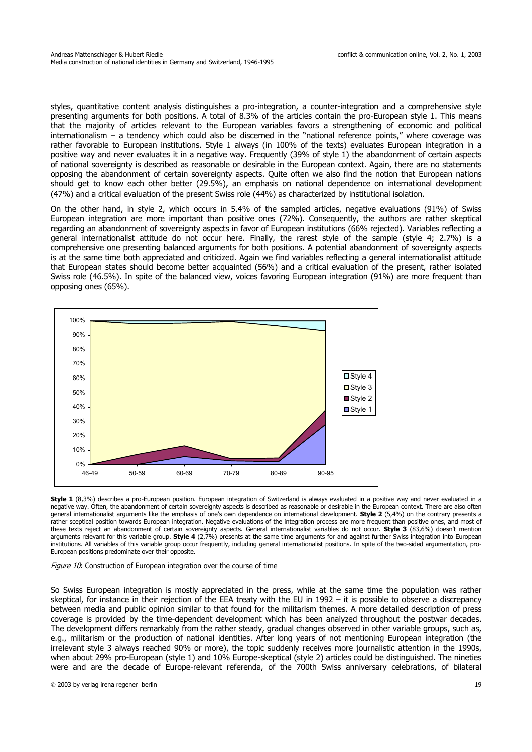styles, quantitative content analysis distinguishes a pro-integration, a counter-integration and a comprehensive style presenting arguments for both positions. A total of 8.3% of the articles contain the pro-European style 1. This means that the majority of articles relevant to the European variables favors a strengthening of economic and political internationalism – a tendency which could also be discerned in the "national reference points," where coverage was rather favorable to European institutions. Style 1 always (in 100% of the texts) evaluates European integration in a positive way and never evaluates it in a negative way. Frequently (39% of style 1) the abandonment of certain aspects of national sovereignty is described as reasonable or desirable in the European context. Again, there are no statements opposing the abandonment of certain sovereignty aspects. Quite often we also find the notion that European nations should get to know each other better (29.5%), an emphasis on national dependence on international development (47%) and a critical evaluation of the present Swiss role (44%) as characterized by institutional isolation.

On the other hand, in style 2, which occurs in 5.4% of the sampled articles, negative evaluations (91%) of Swiss European integration are more important than positive ones (72%). Consequently, the authors are rather skeptical regarding an abandonment of sovereignty aspects in favor of European institutions (66% rejected). Variables reflecting a general internationalist attitude do not occur here. Finally, the rarest style of the sample (style 4; 2.7%) is a comprehensive one presenting balanced arguments for both positions. A potential abandonment of sovereignty aspects is at the same time both appreciated and criticized. Again we find variables reflecting a general internationalist attitude that European states should become better acquainted (56%) and a critical evaluation of the present, rather isolated Swiss role (46.5%). In spite of the balanced view, voices favoring European integration (91%) are more frequent than opposing ones (65%).



**Style 1** (8,3%) describes a pro-European position. European integration of Switzerland is always evaluated in a positive way and never evaluated in a negative way. Often, the abandonment of certain sovereignty aspects is described as reasonable or desirable in the European context. There are also often general internationalist arguments like the emphasis of one's own dependence on international development. **Style 2** (5,4%) on the contrary presents a rather sceptical position towards European integration. Negative evaluations of the integration process are more frequent than positive ones, and most of these texts reject an abandonment of certain sovereignty aspects. General internationalist variables do not occur. **Style 3** (83,6%) doesn't mention arguments relevant for this variable group. **Style 4** (2,7%) presents at the same time arguments for and against further Swiss integration into European institutions. All variables of this variable group occur frequently, including general internationalist positions. In spite of the two-sided argumentation, pro-European positions predominate over their opposite.

Figure  $10$ : Construction of European integration over the course of time

So Swiss European integration is mostly appreciated in the press, while at the same time the population was rather skeptical, for instance in their rejection of the EEA treaty with the EU in 1992 – it is possible to observe a discrepancy between media and public opinion similar to that found for the militarism themes. A more detailed description of press coverage is provided by the time-dependent development which has been analyzed throughout the postwar decades. The development differs remarkably from the rather steady, gradual changes observed in other variable groups, such as, e.g., militarism or the production of national identities. After long years of not mentioning European integration (the irrelevant style 3 always reached 90% or more), the topic suddenly receives more journalistic attention in the 1990s, when about 29% pro-European (style 1) and 10% Europe-skeptical (style 2) articles could be distinguished. The nineties were and are the decade of Europe-relevant referenda, of the 700th Swiss anniversary celebrations, of bilateral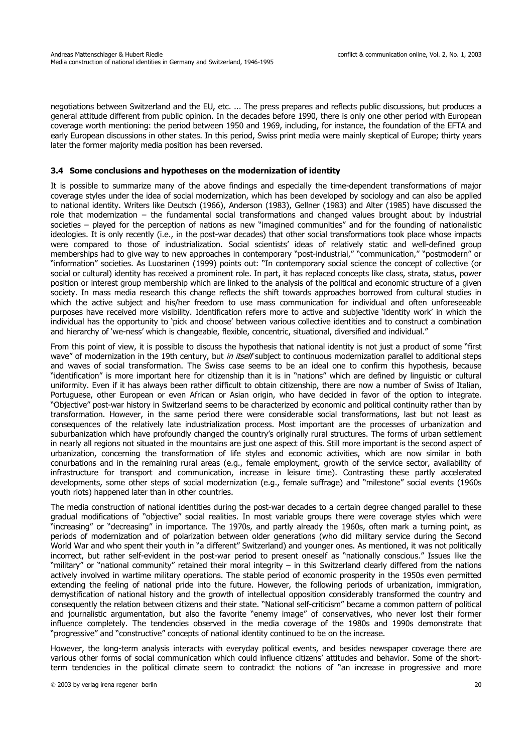negotiations between Switzerland and the EU, etc. ... The press prepares and reflects public discussions, but produces a general attitude different from public opinion. In the decades before 1990, there is only one other period with European coverage worth mentioning: the period between 1950 and 1969, including, for instance, the foundation of the EFTA and early European discussions in other states. In this period, Swiss print media were mainly skeptical of Europe; thirty years later the former majority media position has been reversed.

### **3.4 Some conclusions and hypotheses on the modernization of identity**

It is possible to summarize many of the above findings and especially the time-dependent transformations of major coverage styles under the idea of social modernization, which has been developed by sociology and can also be applied to national identity. Writers like Deutsch (1966), Anderson (1983), Gellner (1983) and Alter (1985) have discussed the role that modernization – the fundamental social transformations and changed values brought about by industrial societies – played for the perception of nations as new "imagined communities" and for the founding of nationalistic ideologies. It is only recently (i.e., in the post-war decades) that other social transformations took place whose impacts were compared to those of industrialization. Social scientists' ideas of relatively static and well-defined group memberships had to give way to new approaches in contemporary "post-industrial," "communication," "postmodern" or "information" societies. As Luostarinen (1999) points out: "In contemporary social science the concept of collective (or social or cultural) identity has received a prominent role. In part, it has replaced concepts like class, strata, status, power position or interest group membership which are linked to the analysis of the political and economic structure of a given society. In mass media research this change reflects the shift towards approaches borrowed from cultural studies in which the active subject and his/her freedom to use mass communication for individual and often unforeseeable purposes have received more visibility. Identification refers more to active and subjective 'identity work' in which the individual has the opportunity to 'pick and choose' between various collective identities and to construct a combination and hierarchy of 'we-ness' which is changeable, flexible, concentric, situational, diversified and individual."

From this point of view, it is possible to discuss the hypothesis that national identity is not just a product of some "first wave" of modernization in the 19th century, but in itself subject to continuous modernization parallel to additional steps and waves of social transformation. The Swiss case seems to be an ideal one to confirm this hypothesis, because "identification" is more important here for citizenship than it is in "nations" which are defined by linguistic or cultural uniformity. Even if it has always been rather difficult to obtain citizenship, there are now a number of Swiss of Italian, Portuguese, other European or even African or Asian origin, who have decided in favor of the option to integrate. "Objective" post-war history in Switzerland seems to be characterized by economic and political continuity rather than by transformation. However, in the same period there were considerable social transformations, last but not least as consequences of the relatively late industrialization process. Most important are the processes of urbanization and suburbanization which have profoundly changed the country's originally rural structures. The forms of urban settlement in nearly all regions not situated in the mountains are just one aspect of this. Still more important is the second aspect of urbanization, concerning the transformation of life styles and economic activities, which are now similar in both conurbations and in the remaining rural areas (e.g., female employment, growth of the service sector, availability of infrastructure for transport and communication, increase in leisure time). Contrasting these partly accelerated developments, some other steps of social modernization (e.g., female suffrage) and "milestone" social events (1960s youth riots) happened later than in other countries.

The media construction of national identities during the post-war decades to a certain degree changed parallel to these gradual modifications of "objective" social realities. In most variable groups there were coverage styles which were "increasing" or "decreasing" in importance. The 1970s, and partly already the 1960s, often mark a turning point, as periods of modernization and of polarization between older generations (who did military service during the Second World War and who spent their youth in "a different" Switzerland) and younger ones. As mentioned, it was not politically incorrect, but rather self-evident in the post-war period to present oneself as "nationally conscious." Issues like the "military" or "national community" retained their moral integrity – in this Switzerland clearly differed from the nations actively involved in wartime military operations. The stable period of economic prosperity in the 1950s even permitted extending the feeling of national pride into the future. However, the following periods of urbanization, immigration, demystification of national history and the growth of intellectual opposition considerably transformed the country and consequently the relation between citizens and their state. "National self-criticism" became a common pattern of political and journalistic argumentation, but also the favorite "enemy image" of conservatives, who never lost their former influence completely. The tendencies observed in the media coverage of the 1980s and 1990s demonstrate that "progressive" and "constructive" concepts of national identity continued to be on the increase.

However, the long-term analysis interacts with everyday political events, and besides newspaper coverage there are various other forms of social communication which could influence citizens' attitudes and behavior. Some of the shortterm tendencies in the political climate seem to contradict the notions of "an increase in progressive and more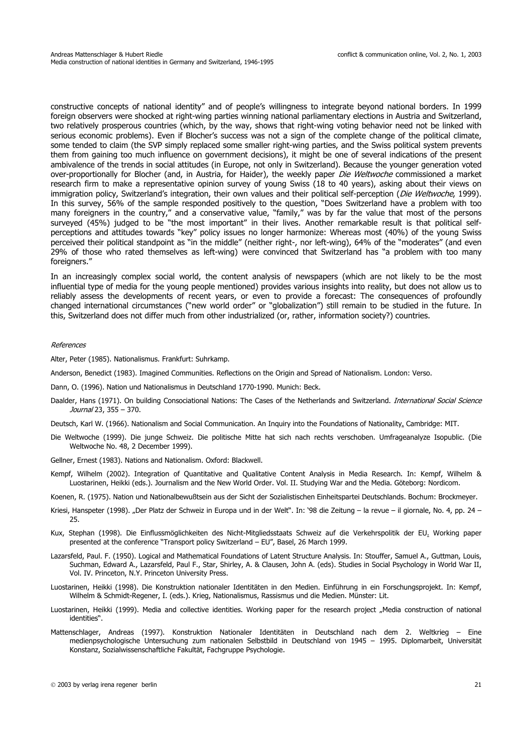constructive concepts of national identity" and of people's willingness to integrate beyond national borders. In 1999 foreign observers were shocked at right-wing parties winning national parliamentary elections in Austria and Switzerland, two relatively prosperous countries (which, by the way, shows that right-wing voting behavior need not be linked with serious economic problems). Even if Blocher's success was not a sign of the complete change of the political climate, some tended to claim (the SVP simply replaced some smaller right-wing parties, and the Swiss political system prevents them from gaining too much influence on government decisions), it might be one of several indications of the present ambivalence of the trends in social attitudes (in Europe, not only in Switzerland). Because the younger generation voted over-proportionally for Blocher (and, in Austria, for Haider), the weekly paper Die Weltwoche commissioned a market research firm to make a representative opinion survey of young Swiss (18 to 40 years), asking about their views on immigration policy, Switzerland's integration, their own values and their political self-perception (Die Weltwoche, 1999). In this survey, 56% of the sample responded positively to the question, "Does Switzerland have a problem with too many foreigners in the country," and a conservative value, "family," was by far the value that most of the persons surveyed (45%) judged to be "the most important" in their lives. Another remarkable result is that political selfperceptions and attitudes towards "key" policy issues no longer harmonize: Whereas most (40%) of the young Swiss perceived their political standpoint as "in the middle" (neither right-, nor left-wing), 64% of the "moderates" (and even 29% of those who rated themselves as left-wing) were convinced that Switzerland has "a problem with too many foreigners."

In an increasingly complex social world, the content analysis of newspapers (which are not likely to be the most influential type of media for the young people mentioned) provides various insights into reality, but does not allow us to reliably assess the developments of recent years, or even to provide a forecast: The consequences of profoundly changed international circumstances ("new world order" or "globalization") still remain to be studied in the future. In this, Switzerland does not differ much from other industrialized (or, rather, information society?) countries.

### References

Alter, Peter (1985). Nationalismus. Frankfurt: Suhrkamp.

Anderson, Benedict (1983). Imagined Communities. Reflections on the Origin and Spread of Nationalism. London: Verso.

Dann, O. (1996). Nation und Nationalismus in Deutschland 1770-1990. Munich: Beck.

Daalder, Hans (1971). On building Consociational Nations: The Cases of the Netherlands and Switzerland. International Social Science Journal 23, 355 – 370.

Deutsch, Karl W. (1966). Nationalism and Social Communication. An Inquiry into the Foundations of Nationality. Cambridge: MIT.

- Die Weltwoche (1999). Die junge Schweiz. Die politische Mitte hat sich nach rechts verschoben. Umfrageanalyze Isopublic. (Die Weltwoche No. 48, 2 December 1999).
- Gellner, Ernest (1983). Nations and Nationalism. Oxford: Blackwell.
- Kempf, Wilhelm (2002). Integration of Quantitative and Qualitative Content Analysis in Media Research. In: Kempf, Wilhelm & Luostarinen, Heikki (eds.). Journalism and the New World Order. Vol. II. Studying War and the Media. Göteborg: Nordicom.

Koenen, R. (1975). Nation und Nationalbewußtsein aus der Sicht der Sozialistischen Einheitspartei Deutschlands. Bochum: Brockmeyer.

- Kriesi, Hanspeter (1998). "Der Platz der Schweiz in Europa und in der Welt". In: '98 die Zeitung la revue il giornale, No. 4, pp. 24 25.
- Kux, Stephan (1998). Die Einflussmöglichkeiten des Nicht-Mitgliedsstaats Schweiz auf die Verkehrspolitik der EU. Working paper presented at the conference "Transport policy Switzerland – EU", Basel, 26 March 1999.
- Lazarsfeld, Paul. F. (1950). Logical and Mathematical Foundations of Latent Structure Analysis. In: Stouffer, Samuel A., Guttman, Louis, Suchman, Edward A., Lazarsfeld, Paul F., Star, Shirley, A. & Clausen, John A. (eds). Studies in Social Psychology in World War II, Vol. IV. Princeton, N.Y. Princeton University Press.
- Luostarinen, Heikki (1998). Die Konstruktion nationaler Identitäten in den Medien. Einführung in ein Forschungsprojekt. In: Kempf, Wilhelm & Schmidt-Regener, I. (eds.). Krieg, Nationalismus, Rassismus und die Medien. Münster: Lit.
- Luostarinen, Heikki (1999). Media and collective identities. Working paper for the research project "Media construction of national identities".
- Mattenschlager, Andreas (1997). Konstruktion Nationaler Identitäten in Deutschland nach dem 2. Weltkrieg Eine medienpsychologische Untersuchung zum nationalen Selbstbild in Deutschland von 1945 – 1995. Diplomarbeit, Universität Konstanz, Sozialwissenschaftliche Fakultät, Fachgruppe Psychologie.